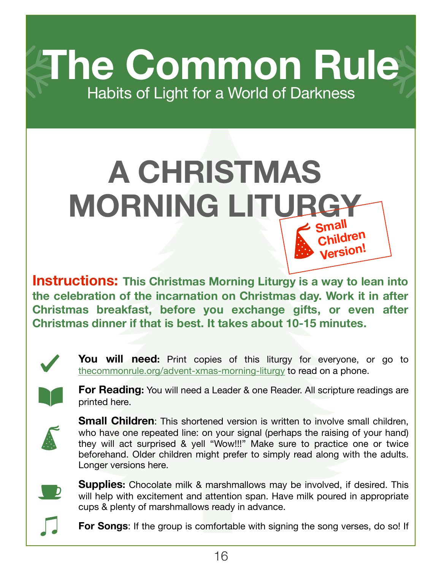**The Common Rule** Habits of Light for a World of Darkness

## **A CHRISTMAS MORNING LITURGY Small**

**Instructions: This Christmas Morning Liturgy is a way to lean into the celebration of the incarnation on Christmas day. Work it in after Christmas breakfast, before you exchange gifts, or even after Christmas dinner if that is best. It takes about 10-15 minutes.**



You will need: Print copies of this liturgy for everyone, or go to [thecommonrule.org/advent-xmas-morning-liturgy](https://www.thecommonrule.org/advent-xmas-morning-liturgy) to read on a phone.

**Children Version!**



**For Reading:** You will need a Leader & one Reader. All scripture readings are printed here.



**Small Children**: This shortened version is written to involve small children, who have one repeated line: on your signal (perhaps the raising of your hand) they will act surprised & yell "Wow!!!" Make sure to practice one or twice beforehand. Older children might prefer to simply read along with the adults. [Longer versions here.](https://www.thecommonrule.org/advent-xmas-morning-liturgy)



**Supplies:** Chocolate milk & marshmallows may be involved, if desired. This will help with excitement and attention span. Have milk poured in appropriate cups & plenty of marshmallows ready in advance.

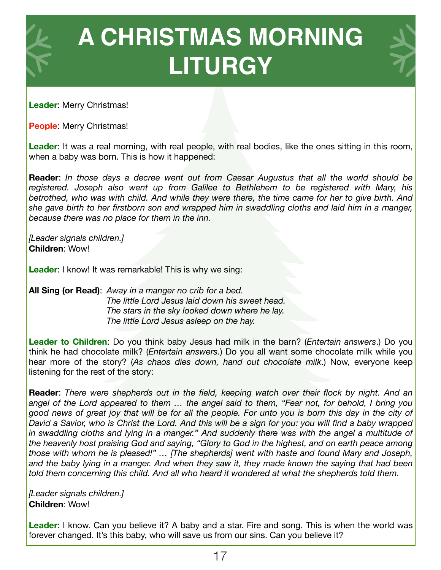

**Leader**: Merry Christmas!

**People**: Merry Christmas!

**Leader**: It was a real morning, with real people, with real bodies, like the ones sitting in this room, when a baby was born. This is how it happened:

**Reader**: *In those days a decree went out from Caesar Augustus that all the world should be registered. Joseph also went up from Galilee to Bethlehem to be registered with Mary, his betrothed, who was with child. And while they were there, the time came for her to give birth. And she gave birth to her firstborn son and wrapped him in swaddling cloths and laid him in a manger, because there was no place for them in the inn.* 

*[Leader signals children.]* **Children**: Wow!

**Leader:** I know! It was remarkable! This is why we sing:

**All Sing (or Read)**: *Away in a manger no crib for a bed. The little Lord Jesus laid down his sweet head. The stars in the sky looked down where he lay. The little Lord Jesus asleep on the hay.* 

**Leader to Children**: Do you think baby Jesus had milk in the barn? (*Entertain answers*.) Do you think he had chocolate milk? (*Entertain answers.*) Do you all want some chocolate milk while you hear more of the story? (*As chaos dies down, hand out chocolate milk*.) Now, everyone keep listening for the rest of the story:

**Reader**: *There were shepherds out in the field, keeping watch over their flock by night. And an angel of the Lord appeared to them … the angel said to them, "Fear not, for behold, I bring you good news of great joy that will be for all the people. For unto you is born this day in the city of David a Savior, who is Christ the Lord. And this will be a sign for you: you will find a baby wrapped*  in swaddling cloths and lying in a manger." And suddenly there was with the angel a multitude of *the heavenly host praising God and saying, "Glory to God in the highest, and on earth peace among those with whom he is pleased!" … [The shepherds] went with haste and found Mary and Joseph, and the baby lying in a manger. And when they saw it, they made known the saying that had been told them concerning this child. And all who heard it wondered at what the shepherds told them.*

*[Leader signals children.]*  **Children**: Wow!

**Leader**: I know. Can you believe it? A baby and a star. Fire and song. This is when the world was forever changed. It's this baby, who will save us from our sins. Can you believe it?